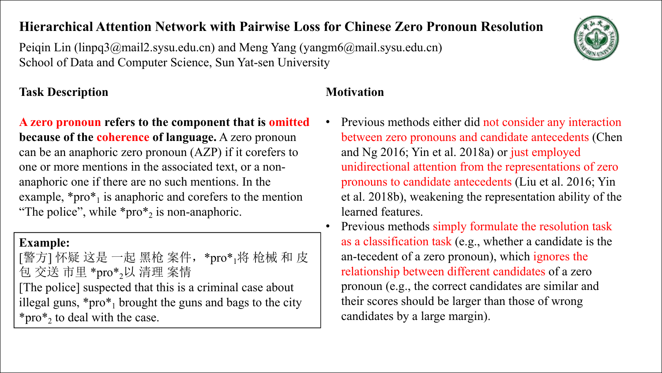## **Hierarchical Attention Network with Pairwise Loss for Chinese Zero Pronoun Resolution**

Peiqin Lin (linpq3@mail2.sysu.edu.cn) and Meng Yang (yangm6@mail.sysu.edu.cn) School of Data and Computer Science, Sun Yat-sen University

### **Task Description Motivation**

**A zero pronoun refers to the component that is omitted because of the coherence of language.** A zero pronoun can be an anaphoric zero pronoun (AZP) if it corefers to one or more mentions in the associated text, or <sup>a</sup> non-anaphoric one if there are no such mentions. In the example,  $*pro*<sub>1</sub>$  is anaphoric and corefers to the mention et al. 2018b), we "The police", while  $*pro*_{2}$  is non-anaphoric.

### **Example:**

[警方] 怀疑 这是 一起 黑枪 案件,\*pro\*<sub>1</sub>将 枪械 和 皮 | an-tecedent of a zer 包 交送 市里 \*pro\* [The police] suspected that this is a criminal case about illegal guns,  $*pro*<sub>1</sub>$  brought the guns and bags to the city  $\qquad$  their scores show \*pro\* 2 to deal with the case.

- Previous methods either did not consider any interaction between zero pronouns and candidate antecedents (Chen and Ng 2016; Yin et al. 2018a) or just employed unidirectional attention from the representations of zero pronouns to candidate antecedents (Liu et al. 2016; Yin et al. 2018b), weakening the representation ability of the learned features.
- $_1$ 将 枪械 和 皮  $\parallel$  an-tecedent of a zero pronoun), which ignores the <sub>2</sub>以 清理 案情 | relationship between different candidates of a zero  $\overline{\phantom{a}}$ • Previous methods simply formulate the resolution task as a classification task (e.g., whether a candidate is the pronoun (e.g., the correct candidates are similar and their scores should be larger than those of wrong candidates by a large margin).